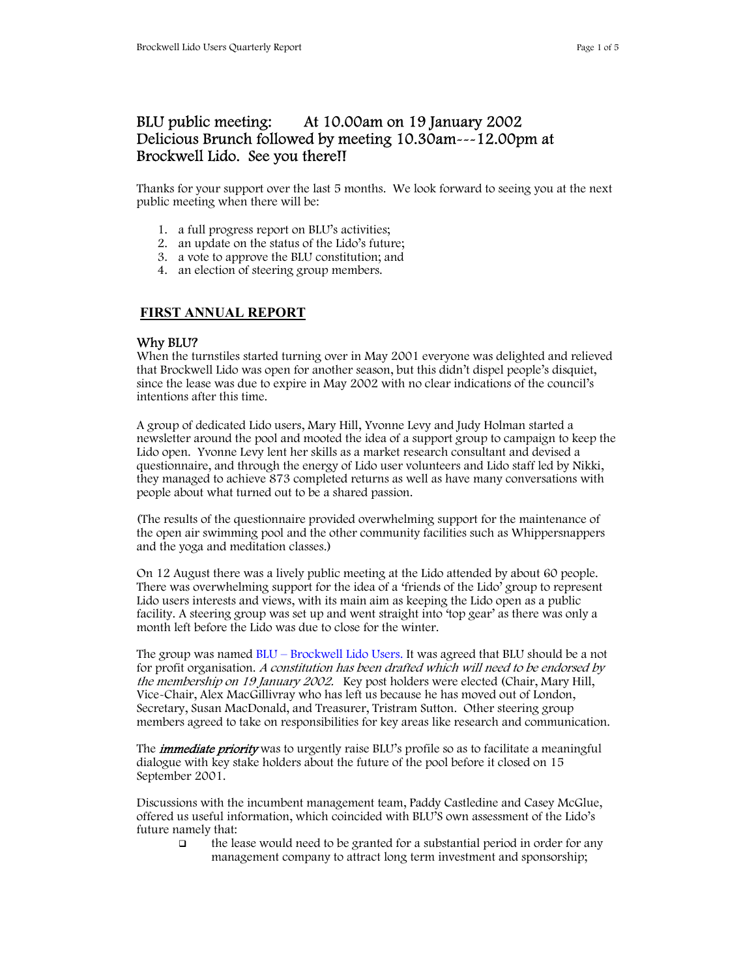# BLU public meeting: At 10.00am on 19 January 2002 Delicious Brunch followed by meeting 10.30am---12.00pm at Brockwell Lido. See you there!!

Thanks for your support over the last 5 months. We look forward to seeing you at the next public meeting when there will be:

- 1. a full progress report on BLU's activities;
- 2. an update on the status of the Lido's future;
- 3. a vote to approve the BLU constitution; and
- 4. an election of steering group members.

## **FIRST ANNUAL REPORT**

#### Why BLU?

When the turnstiles started turning over in May 2001 everyone was delighted and relieved that Brockwell Lido was open for another season, but this didn't dispel people's disquiet, since the lease was due to expire in May 2002 with no clear indications of the council's intentions after this time.

A group of dedicated Lido users, Mary Hill, Yvonne Levy and Judy Holman started a newsletter around the pool and mooted the idea of a support group to campaign to keep the Lido open. Yvonne Levy lent her skills as a market research consultant and devised a questionnaire, and through the energy of Lido user volunteers and Lido staff led by Nikki, they managed to achieve 873 completed returns as well as have many conversations with people about what turned out to be a shared passion.

(The results of the questionnaire provided overwhelming support for the maintenance of the open air swimming pool and the other community facilities such as Whippersnappers and the yoga and meditation classes.)

On 12 August there was a lively public meeting at the Lido attended by about 60 people. There was overwhelming support for the idea of a 'friends of the Lido' group to represent Lido users interests and views, with its main aim as keeping the Lido open as a public facility. A steering group was set up and went straight into 'top gear' as there was only a month left before the Lido was due to close for the winter.

The group was named BLU – Brockwell Lido Users. It was agreed that BLU should be a not for profit organisation. A constitution has been drafted which will need to be endorsed by the membership on 19 January 2002. Key post holders were elected (Chair, Mary Hill, Vice-Chair, Alex MacGillivray who has left us because he has moved out of London, Secretary, Susan MacDonald, and Treasurer, Tristram Sutton. Other steering group members agreed to take on responsibilities for key areas like research and communication.

The *immediate priority* was to urgently raise BLU's profile so as to facilitate a meaningful dialogue with key stake holders about the future of the pool before it closed on 15 September 2001.

Discussions with the incumbent management team, Paddy Castledine and Casey McGlue, offered us useful information, which coincided with BLU'S own assessment of the Lido's future namely that:

 $\Box$  the lease would need to be granted for a substantial period in order for any management company to attract long term investment and sponsorship;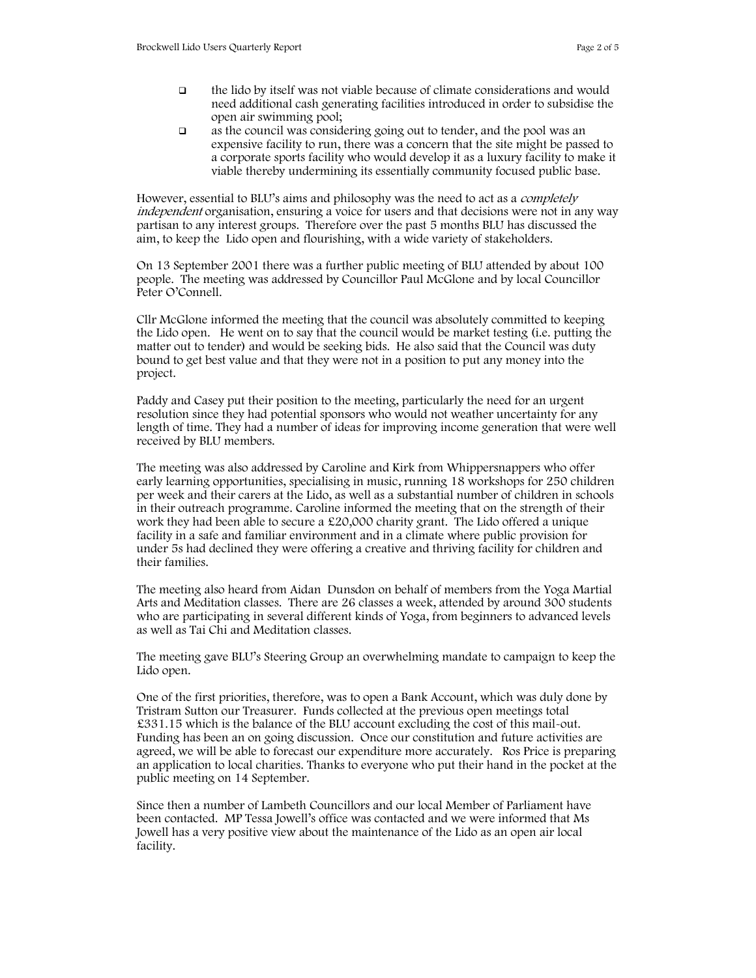- the lido by itself was not viable because of climate considerations and would need additional cash generating facilities introduced in order to subsidise the open air swimming pool;
- as the council was considering going out to tender, and the pool was an expensive facility to run, there was a concern that the site might be passed to a corporate sports facility who would develop it as a luxury facility to make it viable thereby undermining its essentially community focused public base.

However, essential to BLU's aims and philosophy was the need to act as a *completely* independent organisation, ensuring a voice for users and that decisions were not in any way partisan to any interest groups. Therefore over the past 5 months BLU has discussed the aim, to keep the Lido open and flourishing, with a wide variety of stakeholders.

On 13 September 2001 there was a further public meeting of BLU attended by about 100 people. The meeting was addressed by Councillor Paul McGlone and by local Councillor Peter O'Connell.

Cllr McGlone informed the meeting that the council was absolutely committed to keeping the Lido open. He went on to say that the council would be market testing (i.e. putting the matter out to tender) and would be seeking bids. He also said that the Council was duty bound to get best value and that they were not in a position to put any money into the project.

Paddy and Casey put their position to the meeting, particularly the need for an urgent resolution since they had potential sponsors who would not weather uncertainty for any length of time. They had a number of ideas for improving income generation that were well received by BLU members.

The meeting was also addressed by Caroline and Kirk from Whippersnappers who offer early learning opportunities, specialising in music, running 18 workshops for 250 children per week and their carers at the Lido, as well as a substantial number of children in schools in their outreach programme. Caroline informed the meeting that on the strength of their work they had been able to secure a £20,000 charity grant. The Lido offered a unique facility in a safe and familiar environment and in a climate where public provision for under 5s had declined they were offering a creative and thriving facility for children and their families.

The meeting also heard from Aidan Dunsdon on behalf of members from the Yoga Martial Arts and Meditation classes. There are 26 classes a week, attended by around 300 students who are participating in several different kinds of Yoga, from beginners to advanced levels as well as Tai Chi and Meditation classes.

The meeting gave BLU's Steering Group an overwhelming mandate to campaign to keep the Lido open.

One of the first priorities, therefore, was to open a Bank Account, which was duly done by Tristram Sutton our Treasurer. Funds collected at the previous open meetings total £331.15 which is the balance of the BLU account excluding the cost of this mail-out. Funding has been an on going discussion. Once our constitution and future activities are agreed, we will be able to forecast our expenditure more accurately. Ros Price is preparing an application to local charities. Thanks to everyone who put their hand in the pocket at the public meeting on 14 September.

Since then a number of Lambeth Councillors and our local Member of Parliament have been contacted. MP Tessa Jowell's office was contacted and we were informed that Ms Jowell has a very positive view about the maintenance of the Lido as an open air local facility.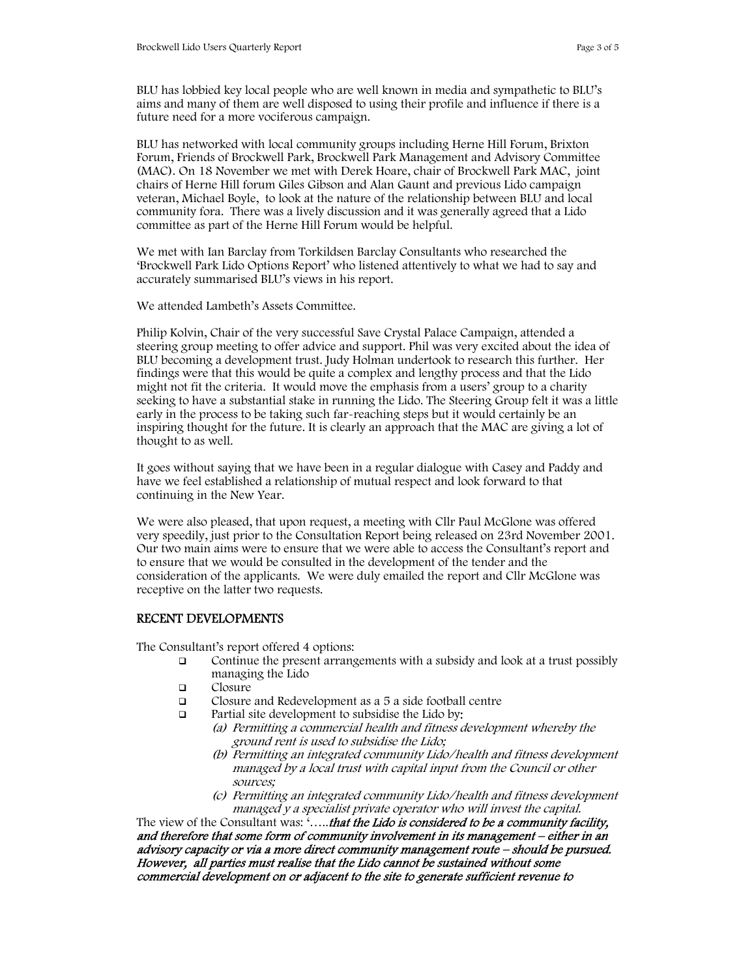BLU has lobbied key local people who are well known in media and sympathetic to BLU's aims and many of them are well disposed to using their profile and influence if there is a future need for a more vociferous campaign.

BLU has networked with local community groups including Herne Hill Forum, Brixton Forum, Friends of Brockwell Park, Brockwell Park Management and Advisory Committee (MAC). On 18 November we met with Derek Hoare, chair of Brockwell Park MAC, joint chairs of Herne Hill forum Giles Gibson and Alan Gaunt and previous Lido campaign veteran, Michael Boyle, to look at the nature of the relationship between BLU and local community fora. There was a lively discussion and it was generally agreed that a Lido committee as part of the Herne Hill Forum would be helpful.

We met with Ian Barclay from Torkildsen Barclay Consultants who researched the 'Brockwell Park Lido Options Report' who listened attentively to what we had to say and accurately summarised BLU's views in his report.

We attended Lambeth's Assets Committee.

Philip Kolvin, Chair of the very successful Save Crystal Palace Campaign, attended a steering group meeting to offer advice and support. Phil was very excited about the idea of BLU becoming a development trust. Judy Holman undertook to research this further. Her findings were that this would be quite a complex and lengthy process and that the Lido might not fit the criteria. It would move the emphasis from a users' group to a charity seeking to have a substantial stake in running the Lido. The Steering Group felt it was a little early in the process to be taking such far-reaching steps but it would certainly be an inspiring thought for the future. It is clearly an approach that the MAC are giving a lot of thought to as well.

It goes without saying that we have been in a regular dialogue with Casey and Paddy and have we feel established a relationship of mutual respect and look forward to that continuing in the New Year.

We were also pleased, that upon request, a meeting with Cllr Paul McGlone was offered very speedily, just prior to the Consultation Report being released on 23rd November 2001. Our two main aims were to ensure that we were able to access the Consultant's report and to ensure that we would be consulted in the development of the tender and the consideration of the applicants. We were duly emailed the report and Cllr McGlone was receptive on the latter two requests.

### RECENT DEVELOPMENTS

The Consultant's report offered 4 options:

- Continue the present arrangements with a subsidy and look at a trust possibly managing the Lido
- □ Closure
- Closure and Redevelopment as a 5 a side football centre
- $\Box$  Partial site development to subsidise the Lido by:
	- (a) Permitting a commercial health and fitness development whereby the ground rent is used to subsidise the Lido;
	- (b) Permitting an integrated community Lido/health and fitness development managed by a local trust with capital input from the Council or other sources;
	- (c) Permitting an integrated community Lido/health and fitness development managed y a specialist private operator who will invest the capital.

The view of the Consultant was: '.....that the Lido is considered to be a community facility, and therefore that some form of community involvement in its management – either in an advisory capacity or via a more direct community management route – should be pursued. However, all parties must realise that the Lido cannot be sustained without some commercial development on or adjacent to the site to generate sufficient revenue to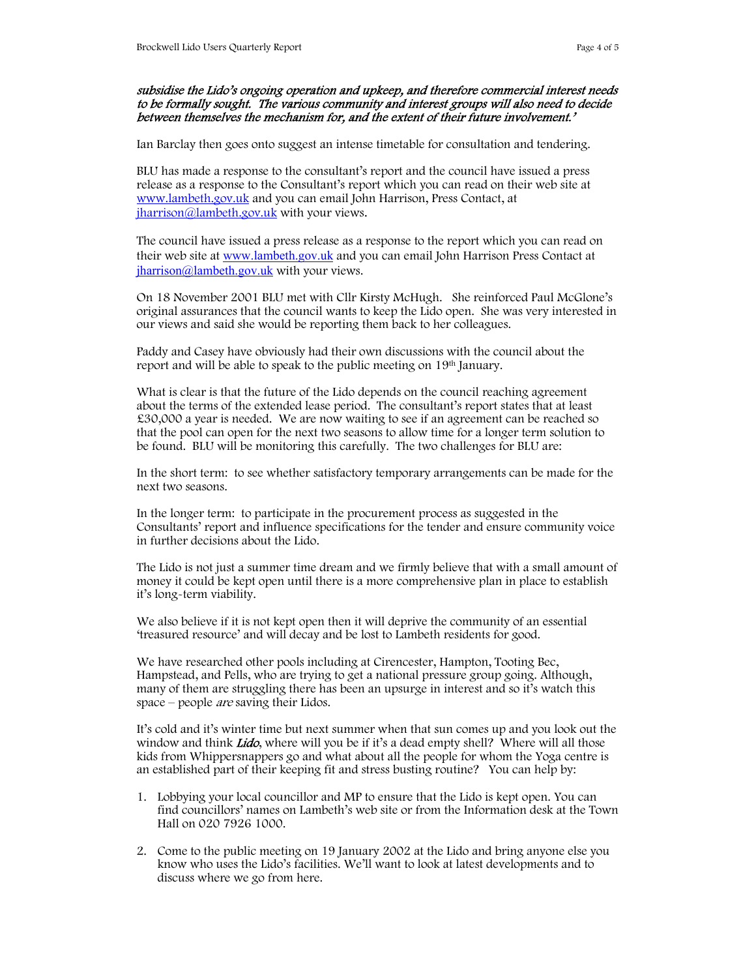#### subsidise the Lido's ongoing operation and upkeep, and therefore commercial interest needs to be formally sought. The various community and interest groups will also need to decide between themselves the mechanism for, and the extent of their future involvement.'

Ian Barclay then goes onto suggest an intense timetable for consultation and tendering.

BLU has made a response to the consultant's report and the council have issued a press release as a response to the Consultant's report which you can read on their web site at www.lambeth.gov.uk and you can email John Harrison, Press Contact, at iharrison@lambeth.gov.uk with your views.

The council have issued a press release as a response to the report which you can read on their web site at www.lambeth.gov.uk and you can email John Harrison Press Contact at jharrison@lambeth.gov.uk with your views.

On 18 November 2001 BLU met with Cllr Kirsty McHugh. She reinforced Paul McGlone's original assurances that the council wants to keep the Lido open. She was very interested in our views and said she would be reporting them back to her colleagues.

Paddy and Casey have obviously had their own discussions with the council about the report and will be able to speak to the public meeting on 19<sup>th</sup> January.

What is clear is that the future of the Lido depends on the council reaching agreement about the terms of the extended lease period. The consultant's report states that at least £30,000 a year is needed. We are now waiting to see if an agreement can be reached so that the pool can open for the next two seasons to allow time for a longer term solution to be found. BLU will be monitoring this carefully. The two challenges for BLU are:

In the short term: to see whether satisfactory temporary arrangements can be made for the next two seasons.

In the longer term: to participate in the procurement process as suggested in the Consultants' report and influence specifications for the tender and ensure community voice in further decisions about the Lido.

The Lido is not just a summer time dream and we firmly believe that with a small amount of money it could be kept open until there is a more comprehensive plan in place to establish it's long-term viability.

We also believe if it is not kept open then it will deprive the community of an essential 'treasured resource' and will decay and be lost to Lambeth residents for good.

We have researched other pools including at Cirencester, Hampton, Tooting Bec, Hampstead, and Pells, who are trying to get a national pressure group going. Although, many of them are struggling there has been an upsurge in interest and so it's watch this space – people *are* saving their Lidos.

It's cold and it's winter time but next summer when that sun comes up and you look out the window and think *Lido*, where will you be if it's a dead empty shell? Where will all those kids from Whippersnappers go and what about all the people for whom the Yoga centre is an established part of their keeping fit and stress busting routine? You can help by:

- 1. Lobbying your local councillor and MP to ensure that the Lido is kept open. You can find councillors' names on Lambeth's web site or from the Information desk at the Town Hall on 020 7926 1000.
- 2. Come to the public meeting on 19 January 2002 at the Lido and bring anyone else you know who uses the Lido's facilities. We'll want to look at latest developments and to discuss where we go from here.